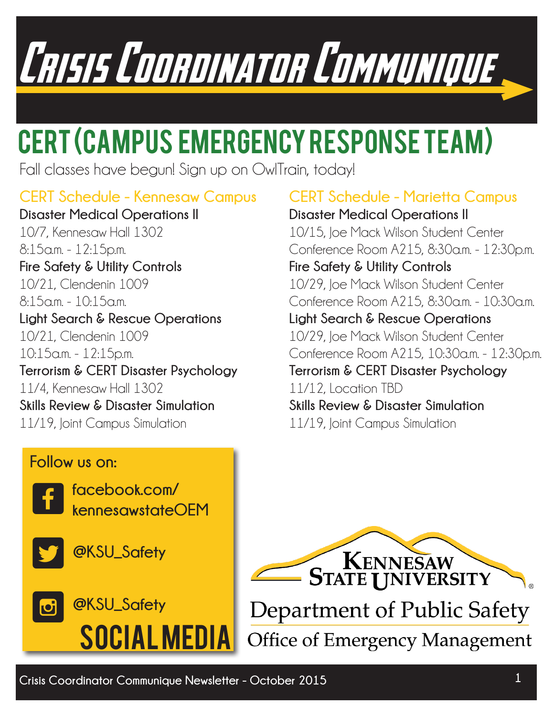## Crisis Coordinator Communique

## CERT (Campus Emergency Response Team)

Fall classes have begun! Sign up on OwlTrain, today!

### **CERT Schedule - Kennesaw Campus**

**Disaster Medical Operations II** 10/7, Kennesaw Hall 1302 8:15a.m. - 12:15p.m. **Fire Safety & Utility Controls**  10/21, Clendenin 1009 8:15a.m. - 10:15a.m. **Light Search & Rescue Operations** 10/21, Clendenin 1009 10:15a.m. - 12:15p.m. **Terrorism & CERT Disaster Psychology** 11/4, Kennesaw Hall 1302 **Skills Review & Disaster Simulation**  11/19, Joint Campus Simulation

### **CERT Schedule - Marietta Campus**

**Disaster Medical Operations II** 10/15, Joe Mack Wilson Student Center Conference Room A215, 8:30a.m. - 12:30p.m. **Fire Safety & Utility Controls** 10/29, Joe Mack Wilson Student Center Conference Room A215, 8:30a.m. - 10:30a.m. **Light Search & Rescue Operations** 10/29, Joe Mack Wilson Student Center Conference Room A215, 10:30a.m. - 12:30p.m. **Terrorism & CERT Disaster Psychology** 11/12, Location TBD

**Skills Review & Disaster Simulation** 

11/19, Joint Campus Simulation

#### **Follow us on:**





**@KSU\_Safety**





Department of Public Safety **Office of Emergency Management**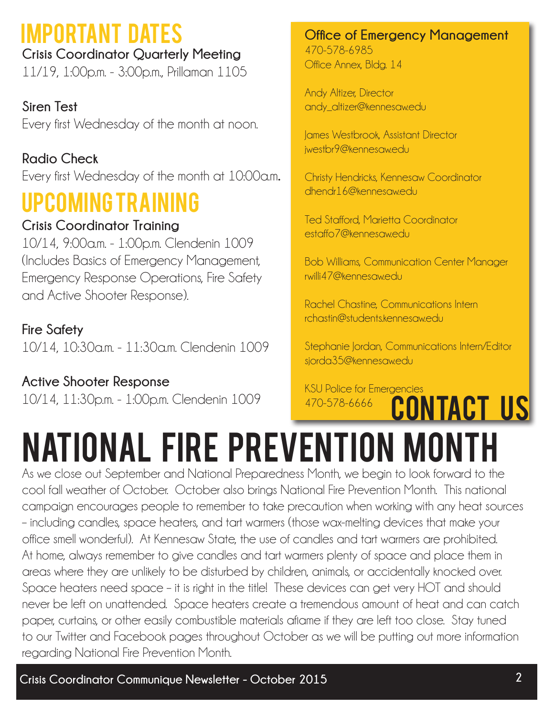## Important Dates

**Crisis Coordinator Quarterly Meeting** 11/19, 1:00p.m. - 3:00p.m., Prillaman 1105

**Siren Test** Every first Wednesday of the month at noon.

**Radio Check** Every first Wednesday of the month at 10:00a.m**.**

## Upcoming Training

#### **Crisis Coordinator Training**

10/14, 9:00a.m. - 1:00p.m. Clendenin 1009 (Includes Basics of Emergency Management, Emergency Response Operations, Fire Safety and Active Shooter Response).

#### **Fire Safety**

10/14, 10:30a.m. - 11:30a.m. Clendenin 1009

**Active Shooter Response** 10/14, 11:30p.m. - 1:00p.m. Clendenin 1009 **Office of Emergency Management** 470-578-6985 Office Annex, Bldg. 14

Andy Altizer, Director andy\_altizer@kennesaw.edu

James Westbrook, Assistant Director iwestbr9@kennesaw.edu

Christy Hendricks, Kennesaw Coordinator dhendr16@kennesaw.edu

Ted Stafford, Marietta Coordinator estaffo7@kennesaw.edu

Bob Williams, Communication Center Manager rwilli47@kennesaw.edu

Rachel Chastine, Communications Intern rchastin@students.kennesaw.edu

Stephanie Jordan, Communications Intern/Editor sjorda35@kennesawedu

KSU Police for Emergencies 470-578-6666 **CONTACT US** 

## National Fire Prevention Month

As we close out September and National Preparedness Month, we begin to look forward to the cool fall weather of October. October also brings National Fire Prevention Month. This national campaign encourages people to remember to take precaution when working with any heat sources – including candles, space heaters, and tart warmers (those wax-melting devices that make your office smell wonderful). At Kennesaw State, the use of candles and tart warmers are prohibited. At home, always remember to give candles and tart warmers plenty of space and place them in areas where they are unlikely to be disturbed by children, animals, or accidentally knocked over. Space heaters need space – it is right in the title! These devices can get very HOT and should never be left on unattended. Space heaters create a tremendous amount of heat and can catch paper, curtains, or other easily combustible materials aflame if they are left too close. Stay tuned to our Twitter and Facebook pages throughout October as we will be putting out more information regarding National Fire Prevention Month.